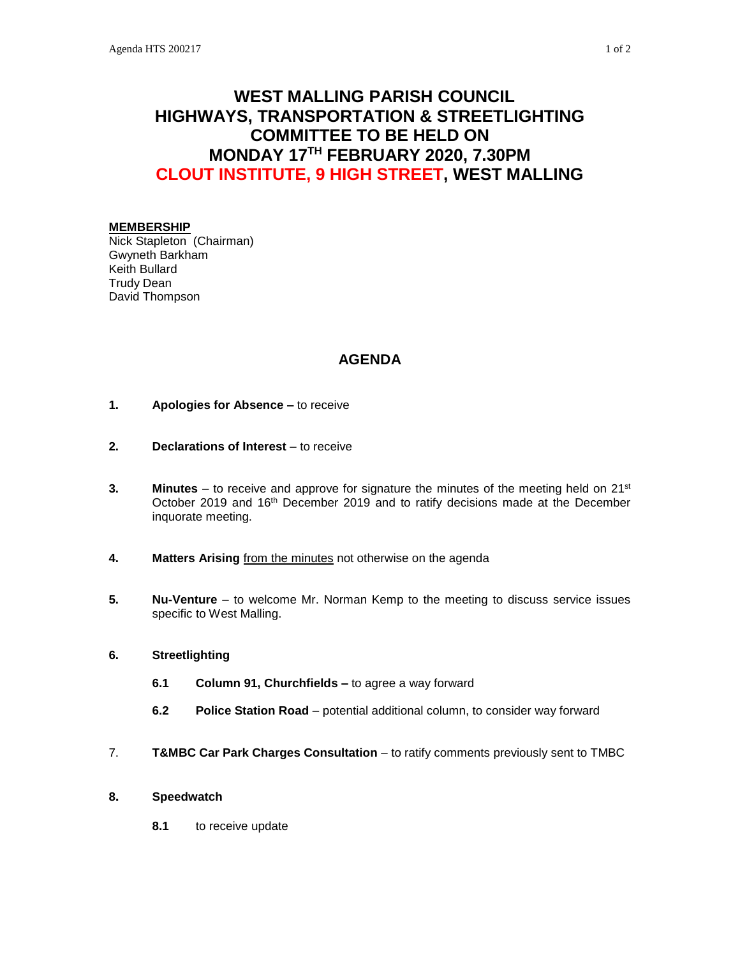# **WEST MALLING PARISH COUNCIL HIGHWAYS, TRANSPORTATION & STREETLIGHTING COMMITTEE TO BE HELD ON MONDAY 17TH FEBRUARY 2020, 7.30PM CLOUT INSTITUTE, 9 HIGH STREET, WEST MALLING**

#### **MEMBERSHIP**

Nick Stapleton (Chairman) Gwyneth Barkham Keith Bullard Trudy Dean David Thompson

## **AGENDA**

- **1. Apologies for Absence –** to receive
- **2. Declarations of Interest** to receive
- **3. Minutes** to receive and approve for signature the minutes of the meeting held on 21<sup>st</sup> October 2019 and 16<sup>th</sup> December 2019 and to ratify decisions made at the December inquorate meeting.
- **4. Matters Arising** from the minutes not otherwise on the agenda
- **5. Nu-Venture** to welcome Mr. Norman Kemp to the meeting to discuss service issues specific to West Malling.

### **6. Streetlighting**

- **6.1 Column 91, Churchfields –** to agree a way forward
- **6.2 Police Station Road** potential additional column, to consider way forward
- 7. **T&MBC Car Park Charges Consultation** to ratify comments previously sent to TMBC

### **8. Speedwatch**

**8.1** to receive update